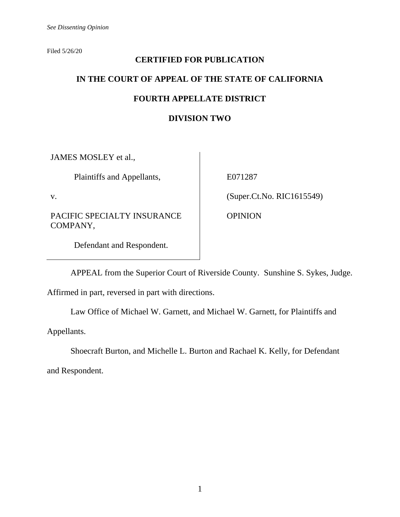Filed 5/26/20

# **CERTIFIED FOR PUBLICATION IN THE COURT OF APPEAL OF THE STATE OF CALIFORNIA FOURTH APPELLATE DISTRICT**

# **DIVISION TWO**

JAMES MOSLEY et al.,

Plaintiffs and Appellants,

v.

PACIFIC SPECIALTY INSURANCE COMPANY,

E071287

(Super.Ct.No. RIC1615549)

OPINION

Defendant and Respondent.

APPEAL from the Superior Court of Riverside County. Sunshine S. Sykes, Judge.

Affirmed in part, reversed in part with directions.

Law Office of Michael W. Garnett, and Michael W. Garnett, for Plaintiffs and

Appellants.

Shoecraft Burton, and Michelle L. Burton and Rachael K. Kelly, for Defendant

and Respondent.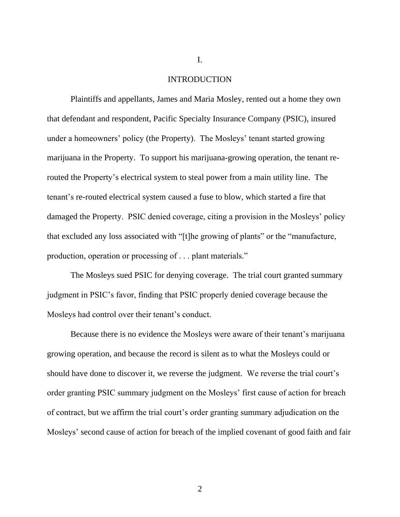## INTRODUCTION

I.

Plaintiffs and appellants, James and Maria Mosley, rented out a home they own that defendant and respondent, Pacific Specialty Insurance Company (PSIC), insured under a homeowners' policy (the Property). The Mosleys' tenant started growing marijuana in the Property. To support his marijuana-growing operation, the tenant rerouted the Property's electrical system to steal power from a main utility line. The tenant's re-routed electrical system caused a fuse to blow, which started a fire that damaged the Property. PSIC denied coverage, citing a provision in the Mosleys' policy that excluded any loss associated with "[t]he growing of plants" or the "manufacture, production, operation or processing of . . . plant materials."

The Mosleys sued PSIC for denying coverage. The trial court granted summary judgment in PSIC's favor, finding that PSIC properly denied coverage because the Mosleys had control over their tenant's conduct.

Because there is no evidence the Mosleys were aware of their tenant's marijuana growing operation, and because the record is silent as to what the Mosleys could or should have done to discover it, we reverse the judgment. We reverse the trial court's order granting PSIC summary judgment on the Mosleys' first cause of action for breach of contract, but we affirm the trial court's order granting summary adjudication on the Mosleys' second cause of action for breach of the implied covenant of good faith and fair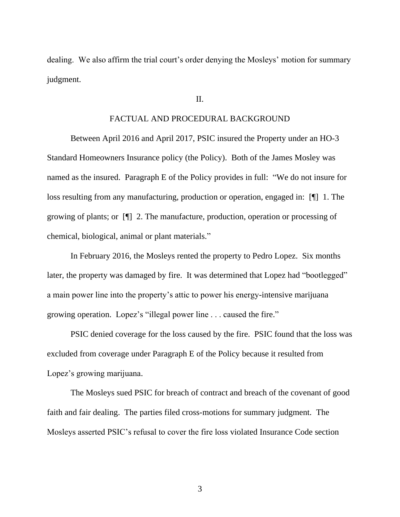dealing. We also affirm the trial court's order denying the Mosleys' motion for summary judgment.

#### II.

## FACTUAL AND PROCEDURAL BACKGROUND

Between April 2016 and April 2017, PSIC insured the Property under an HO-3 Standard Homeowners Insurance policy (the Policy). Both of the James Mosley was named as the insured. Paragraph E of the Policy provides in full: "We do not insure for loss resulting from any manufacturing, production or operation, engaged in: [¶] 1. The growing of plants; or [¶] 2. The manufacture, production, operation or processing of chemical, biological, animal or plant materials."

In February 2016, the Mosleys rented the property to Pedro Lopez. Six months later, the property was damaged by fire. It was determined that Lopez had "bootlegged" a main power line into the property's attic to power his energy-intensive marijuana growing operation. Lopez's "illegal power line . . . caused the fire."

PSIC denied coverage for the loss caused by the fire. PSIC found that the loss was excluded from coverage under Paragraph E of the Policy because it resulted from Lopez's growing marijuana.

The Mosleys sued PSIC for breach of contract and breach of the covenant of good faith and fair dealing. The parties filed cross-motions for summary judgment. The Mosleys asserted PSIC's refusal to cover the fire loss violated Insurance Code section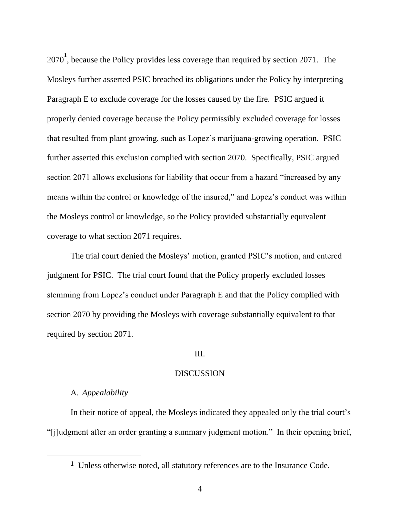2070**<sup>1</sup>** , because the Policy provides less coverage than required by section 2071. The Mosleys further asserted PSIC breached its obligations under the Policy by interpreting Paragraph E to exclude coverage for the losses caused by the fire. PSIC argued it properly denied coverage because the Policy permissibly excluded coverage for losses that resulted from plant growing, such as Lopez's marijuana-growing operation. PSIC further asserted this exclusion complied with section 2070. Specifically, PSIC argued section 2071 allows exclusions for liability that occur from a hazard "increased by any means within the control or knowledge of the insured," and Lopez's conduct was within the Mosleys control or knowledge, so the Policy provided substantially equivalent coverage to what section 2071 requires.

The trial court denied the Mosleys' motion, granted PSIC's motion, and entered judgment for PSIC. The trial court found that the Policy properly excluded losses stemming from Lopez's conduct under Paragraph E and that the Policy complied with section 2070 by providing the Mosleys with coverage substantially equivalent to that required by section 2071.

## III.

## DISCUSSION

## A. *Appealability*

In their notice of appeal, the Mosleys indicated they appealed only the trial court's "[j]udgment after an order granting a summary judgment motion." In their opening brief,

**<sup>1</sup>** Unless otherwise noted, all statutory references are to the Insurance Code.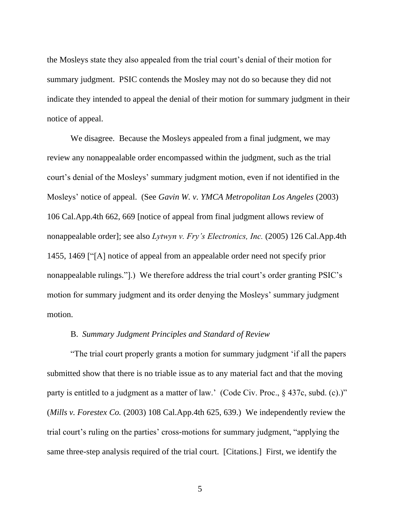the Mosleys state they also appealed from the trial court's denial of their motion for summary judgment. PSIC contends the Mosley may not do so because they did not indicate they intended to appeal the denial of their motion for summary judgment in their notice of appeal.

We disagree. Because the Mosleys appealed from a final judgment, we may review any nonappealable order encompassed within the judgment, such as the trial court's denial of the Mosleys' summary judgment motion, even if not identified in the Mosleys' notice of appeal. (See *Gavin W. v. YMCA Metropolitan Los Angeles* (2003) 106 Cal.App.4th 662, 669 [notice of appeal from final judgment allows review of nonappealable order]; see also *Lytwyn v. Fry's Electronics, Inc.* (2005) 126 Cal.App.4th 1455, 1469 ["[A] notice of appeal from an appealable order need not specify prior nonappealable rulings."].) We therefore address the trial court's order granting PSIC's motion for summary judgment and its order denying the Mosleys' summary judgment motion.

## B. *Summary Judgment Principles and Standard of Review*

"The trial court properly grants a motion for summary judgment 'if all the papers submitted show that there is no triable issue as to any material fact and that the moving party is entitled to a judgment as a matter of law.' (Code Civ. Proc., § 437c, subd. (c).)" (*Mills v. Forestex Co.* (2003) 108 Cal.App.4th 625, 639.) We independently review the trial court's ruling on the parties' cross-motions for summary judgment, "applying the same three-step analysis required of the trial court. [Citations.] First, we identify the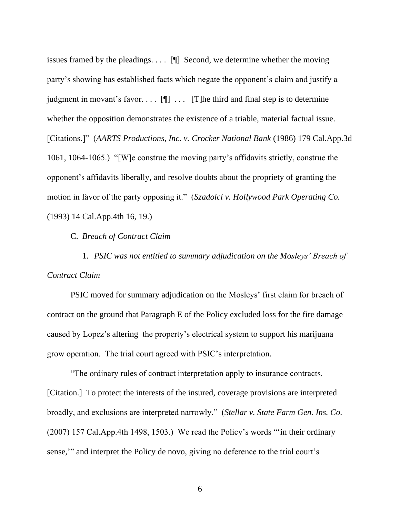issues framed by the pleadings. . . . [¶] Second, we determine whether the moving party's showing has established facts which negate the opponent's claim and justify a judgment in movant's favor....  $[\P]$  ... [T]he third and final step is to determine whether the opposition demonstrates the existence of a triable, material factual issue. [Citations.]" (*AARTS Productions, Inc. v. Crocker National Bank* (1986) 179 Cal.App.3d 1061, 1064-1065.) "[W]e construe the moving party's affidavits strictly, construe the opponent's affidavits liberally, and resolve doubts about the propriety of granting the motion in favor of the party opposing it." (*Szadolci v. Hollywood Park Operating Co.* (1993) 14 Cal.App.4th 16, 19.)

C. *Breach of Contract Claim*

1. *PSIC was not entitled to summary adjudication on the Mosleys' Breach of Contract Claim*

PSIC moved for summary adjudication on the Mosleys' first claim for breach of contract on the ground that Paragraph E of the Policy excluded loss for the fire damage caused by Lopez's altering the property's electrical system to support his marijuana grow operation. The trial court agreed with PSIC's interpretation.

"The ordinary rules of contract interpretation apply to insurance contracts. [Citation.] To protect the interests of the insured, coverage provisions are interpreted broadly, and exclusions are interpreted narrowly." (*Stellar v. State Farm Gen. Ins. Co.*  (2007) 157 Cal.App.4th 1498, 1503.) We read the Policy's words "'in their ordinary sense," and interpret the Policy de novo, giving no deference to the trial court's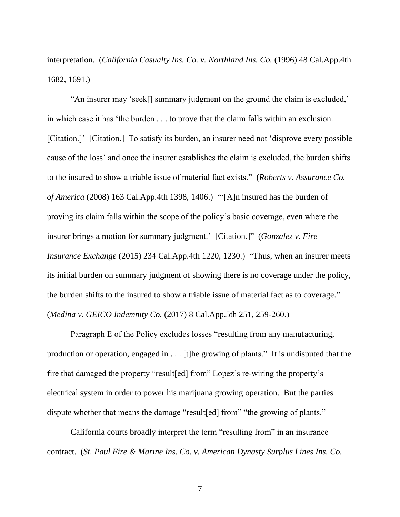interpretation. (*California Casualty Ins. Co. v. Northland Ins. Co.* (1996) 48 Cal.App.4th 1682, 1691.)

"An insurer may 'seek[] summary judgment on the ground the claim is excluded,' in which case it has 'the burden . . . to prove that the claim falls within an exclusion. [Citation.]' [Citation.] To satisfy its burden, an insurer need not 'disprove every possible cause of the loss' and once the insurer establishes the claim is excluded, the burden shifts to the insured to show a triable issue of material fact exists." (*Roberts v. Assurance Co. of America* (2008) 163 Cal.App.4th 1398, 1406.) "'[A]n insured has the burden of proving its claim falls within the scope of the policy's basic coverage, even where the insurer brings a motion for summary judgment.' [Citation.]" (*Gonzalez v. Fire Insurance Exchange* (2015) 234 Cal.App.4th 1220, 1230.) "Thus, when an insurer meets its initial burden on summary judgment of showing there is no coverage under the policy, the burden shifts to the insured to show a triable issue of material fact as to coverage." (*Medina v. GEICO Indemnity Co.* (2017) 8 Cal.App.5th 251, 259-260.)

Paragraph E of the Policy excludes losses "resulting from any manufacturing, production or operation, engaged in . . . [t]he growing of plants." It is undisputed that the fire that damaged the property "result[ed] from" Lopez's re-wiring the property's electrical system in order to power his marijuana growing operation. But the parties dispute whether that means the damage "result[ed] from" "the growing of plants."

California courts broadly interpret the term "resulting from" in an insurance contract. (*St. Paul Fire & Marine Ins. Co. v. American Dynasty Surplus Lines Ins. Co.*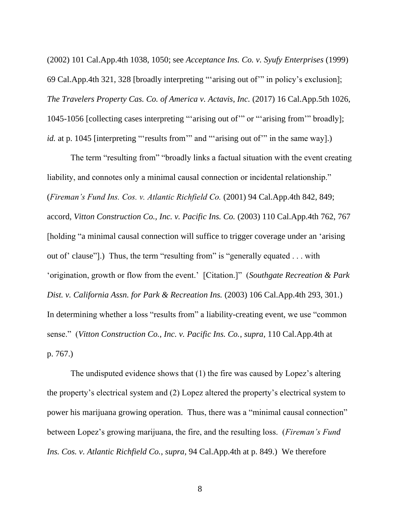(2002) 101 Cal.App.4th 1038, 1050; see *Acceptance Ins. Co. v. Syufy Enterprises* (1999) 69 Cal.App.4th 321, 328 [broadly interpreting "'arising out of'" in policy's exclusion]; *The Travelers Property Cas. Co. of America v. Actavis, Inc.* (2017) 16 Cal.App.5th 1026, 1045-1056 [collecting cases interpreting "'arising out of'" or "'arising from'" broadly]; *id.* at p. 1045 [interpreting "'results from" and "'arising out of" in the same way].)

The term "resulting from" "broadly links a factual situation with the event creating liability, and connotes only a minimal causal connection or incidental relationship." (*Fireman's Fund Ins. Cos. v. Atlantic Richfield Co.* (2001) 94 Cal.App.4th 842, 849; accord, *Vitton Construction Co., Inc. v. Pacific Ins. Co.* (2003) 110 Cal.App.4th 762, 767 [holding "a minimal causal connection will suffice to trigger coverage under an 'arising out of' clause"].) Thus, the term "resulting from" is "generally equated . . . with 'origination, growth or flow from the event.' [Citation.]" (*Southgate Recreation & Park Dist. v. California Assn. for Park & Recreation Ins.* (2003) 106 Cal.App.4th 293, 301.) In determining whether a loss "results from" a liability-creating event, we use "common sense." (*Vitton Construction Co., Inc. v. Pacific Ins. Co.*, *supra*, 110 Cal.App.4th at p. 767.)

The undisputed evidence shows that (1) the fire was caused by Lopez's altering the property's electrical system and (2) Lopez altered the property's electrical system to power his marijuana growing operation. Thus, there was a "minimal causal connection" between Lopez's growing marijuana, the fire, and the resulting loss. (*Fireman's Fund Ins. Cos. v. Atlantic Richfield Co.*, *supra*, 94 Cal.App.4th at p. 849.) We therefore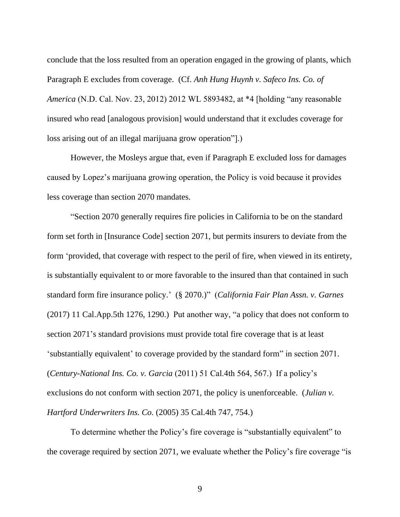conclude that the loss resulted from an operation engaged in the growing of plants, which Paragraph E excludes from coverage. (Cf. *Anh Hung Huynh v. Safeco Ins. Co. of America* (N.D. Cal. Nov. 23, 2012) 2012 WL 5893482, at \*4 [holding "any reasonable insured who read [analogous provision] would understand that it excludes coverage for loss arising out of an illegal marijuana grow operation"].)

However, the Mosleys argue that, even if Paragraph E excluded loss for damages caused by Lopez's marijuana growing operation, the Policy is void because it provides less coverage than section 2070 mandates.

"Section 2070 generally requires fire policies in California to be on the standard form set forth in [Insurance Code] section 2071, but permits insurers to deviate from the form 'provided, that coverage with respect to the peril of fire, when viewed in its entirety, is substantially equivalent to or more favorable to the insured than that contained in such standard form fire insurance policy.' (§ 2070.)" (*California Fair Plan Assn. v. Garnes*  (2017) 11 Cal.App.5th 1276, 1290.) Put another way, "a policy that does not conform to section 2071's standard provisions must provide total fire coverage that is at least 'substantially equivalent' to coverage provided by the standard form" in section 2071. (*Century-National Ins. Co. v. Garcia* (2011) 51 Cal.4th 564, 567.) If a policy's exclusions do not conform with section 2071, the policy is unenforceable. (*Julian v. Hartford Underwriters Ins. Co.* (2005) 35 Cal.4th 747, 754.)

To determine whether the Policy's fire coverage is "substantially equivalent" to the coverage required by section 2071, we evaluate whether the Policy's fire coverage "is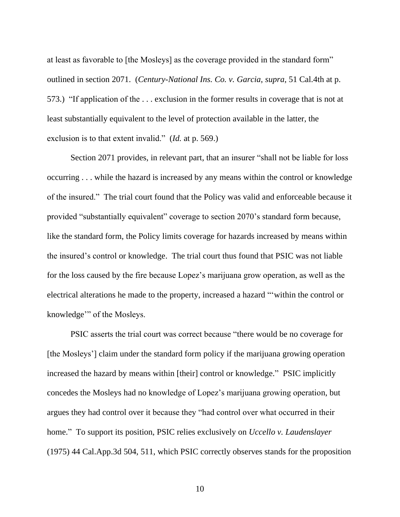at least as favorable to [the Mosleys] as the coverage provided in the standard form" outlined in section 2071. (*Century-National Ins. Co. v. Garcia*, *supra*, 51 Cal.4th at p. 573.) "If application of the . . . exclusion in the former results in coverage that is not at least substantially equivalent to the level of protection available in the latter, the exclusion is to that extent invalid." (*Id.* at p. 569.)

Section 2071 provides, in relevant part, that an insurer "shall not be liable for loss occurring . . . while the hazard is increased by any means within the control or knowledge of the insured." The trial court found that the Policy was valid and enforceable because it provided "substantially equivalent" coverage to section 2070's standard form because, like the standard form, the Policy limits coverage for hazards increased by means within the insured's control or knowledge. The trial court thus found that PSIC was not liable for the loss caused by the fire because Lopez's marijuana grow operation, as well as the electrical alterations he made to the property, increased a hazard "'within the control or knowledge'" of the Mosleys.

PSIC asserts the trial court was correct because "there would be no coverage for [the Mosleys'] claim under the standard form policy if the marijuana growing operation increased the hazard by means within [their] control or knowledge." PSIC implicitly concedes the Mosleys had no knowledge of Lopez's marijuana growing operation, but argues they had control over it because they "had control over what occurred in their home." To support its position, PSIC relies exclusively on *Uccello v. Laudenslayer*  (1975) 44 Cal.App.3d 504, 511, which PSIC correctly observes stands for the proposition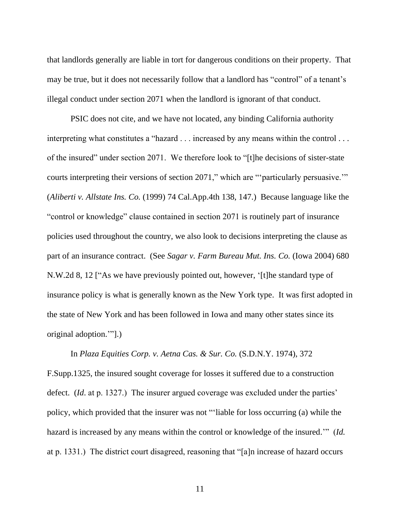that landlords generally are liable in tort for dangerous conditions on their property. That may be true, but it does not necessarily follow that a landlord has "control" of a tenant's illegal conduct under section 2071 when the landlord is ignorant of that conduct.

PSIC does not cite, and we have not located, any binding California authority interpreting what constitutes a "hazard . . . increased by any means within the control . . . of the insured" under section 2071. We therefore look to "[t]he decisions of sister-state courts interpreting their versions of section 2071," which are "'particularly persuasive.'" (*Aliberti v. Allstate Ins. Co.* (1999) 74 Cal.App.4th 138, 147.) Because language like the "control or knowledge" clause contained in section 2071 is routinely part of insurance policies used throughout the country, we also look to decisions interpreting the clause as part of an insurance contract. (See *Sagar v. Farm Bureau Mut. Ins. Co.* (Iowa 2004) 680 N.W.2d 8, 12 ["As we have previously pointed out, however, '[t]he standard type of insurance policy is what is generally known as the New York type. It was first adopted in the state of New York and has been followed in Iowa and many other states since its original adoption.'"].)

In *Plaza Equities Corp. v. Aetna Cas. & Sur. Co.* (S.D.N.Y. 1974), 372 F.Supp.1325, the insured sought coverage for losses it suffered due to a construction defect. (*Id*. at p. 1327.) The insurer argued coverage was excluded under the parties' policy, which provided that the insurer was not "'liable for loss occurring (a) while the hazard is increased by any means within the control or knowledge of the insured.'" (*Id.* at p. 1331.) The district court disagreed, reasoning that "[a]n increase of hazard occurs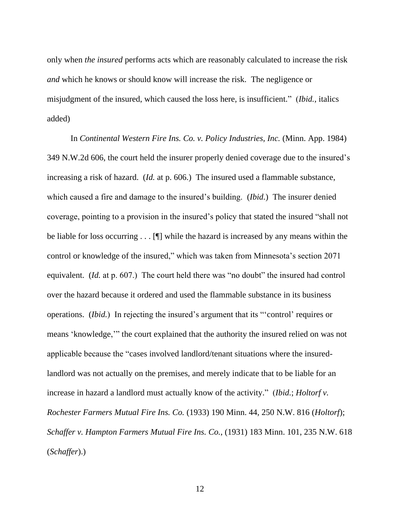only when *the insured* performs acts which are reasonably calculated to increase the risk *and* which he knows or should know will increase the risk. The negligence or misjudgment of the insured, which caused the loss here, is insufficient." (*Ibid.*, italics added)

In *Continental Western Fire Ins. Co. v. Policy Industries, Inc.* (Minn. App. 1984) 349 N.W.2d 606, the court held the insurer properly denied coverage due to the insured's increasing a risk of hazard. (*Id.* at p. 606.) The insured used a flammable substance, which caused a fire and damage to the insured's building. (*Ibid.*) The insurer denied coverage, pointing to a provision in the insured's policy that stated the insured "shall not be liable for loss occurring . . . [¶] while the hazard is increased by any means within the control or knowledge of the insured," which was taken from Minnesota's section 2071 equivalent. (*Id.* at p. 607.) The court held there was "no doubt" the insured had control over the hazard because it ordered and used the flammable substance in its business operations. (*Ibid.*) In rejecting the insured's argument that its "'control' requires or means 'knowledge,'" the court explained that the authority the insured relied on was not applicable because the "cases involved landlord/tenant situations where the insuredlandlord was not actually on the premises, and merely indicate that to be liable for an increase in hazard a landlord must actually know of the activity." (*Ibid.*; *Holtorf v. Rochester Farmers Mutual Fire Ins. Co.* (1933) 190 Minn. 44, 250 N.W. 816 (*Holtorf*); *Schaffer v. Hampton Farmers Mutual Fire Ins. Co.*, (1931) 183 Minn. 101, 235 N.W. 618 (*Schaffer*).)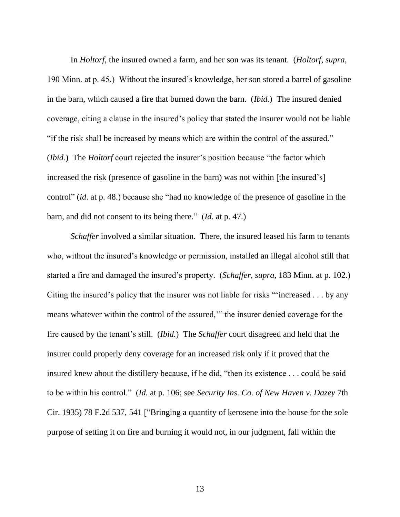In *Holtorf*, the insured owned a farm, and her son was its tenant. (*Holtorf*, *supra*, 190 Minn. at p. 45.) Without the insured's knowledge, her son stored a barrel of gasoline in the barn, which caused a fire that burned down the barn. (*Ibid.*) The insured denied coverage, citing a clause in the insured's policy that stated the insurer would not be liable "if the risk shall be increased by means which are within the control of the assured." (*Ibid.*) The *Holtorf* court rejected the insurer's position because "the factor which increased the risk (presence of gasoline in the barn) was not within [the insured's] control" (*id*. at p. 48.) because she "had no knowledge of the presence of gasoline in the barn, and did not consent to its being there." (*Id.* at p. 47.)

*Schaffer* involved a similar situation. There, the insured leased his farm to tenants who, without the insured's knowledge or permission, installed an illegal alcohol still that started a fire and damaged the insured's property. (*Schaffer*, *supra*, 183 Minn. at p. 102.) Citing the insured's policy that the insurer was not liable for risks "'increased . . . by any means whatever within the control of the assured,'" the insurer denied coverage for the fire caused by the tenant's still. (*Ibid.*) The *Schaffer* court disagreed and held that the insurer could properly deny coverage for an increased risk only if it proved that the insured knew about the distillery because, if he did, "then its existence . . . could be said to be within his control." (*Id.* at p. 106; see *Security Ins. Co. of New Haven v. Dazey* 7th Cir. 1935) 78 F.2d 537, 541 ["Bringing a quantity of kerosene into the house for the sole purpose of setting it on fire and burning it would not, in our judgment, fall within the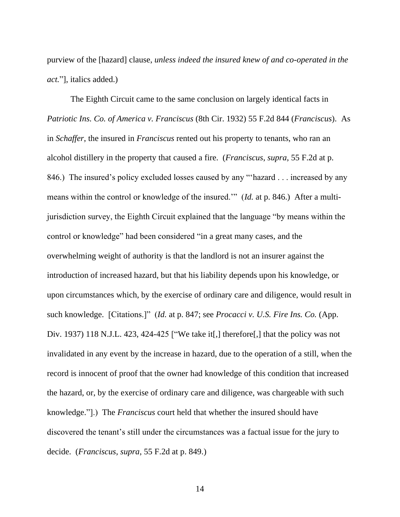purview of the [hazard] clause, *unless indeed the insured knew of and co-operated in the act.*"], italics added.)

The Eighth Circuit came to the same conclusion on largely identical facts in *Patriotic Ins. Co. of America v. Franciscus* (8th Cir. 1932) 55 F.2d 844 (*Franciscus*). As in *Schaffer*, the insured in *Franciscus* rented out his property to tenants, who ran an alcohol distillery in the property that caused a fire. (*Franciscus*, *supra*, 55 F.2d at p. 846.) The insured's policy excluded losses caused by any "'hazard . . . increased by any means within the control or knowledge of the insured.'" (*Id.* at p. 846.) After a multijurisdiction survey, the Eighth Circuit explained that the language "by means within the control or knowledge" had been considered "in a great many cases, and the overwhelming weight of authority is that the landlord is not an insurer against the introduction of increased hazard, but that his liability depends upon his knowledge, or upon circumstances which, by the exercise of ordinary care and diligence, would result in such knowledge. [Citations.]" (*Id.* at p. 847; see *Procacci v. U.S. Fire Ins. Co.* (App. Div. 1937) 118 N.J.L. 423, 424-425 ["We take it [,] therefore [,] that the policy was not invalidated in any event by the increase in hazard, due to the operation of a still, when the record is innocent of proof that the owner had knowledge of this condition that increased the hazard, or, by the exercise of ordinary care and diligence, was chargeable with such knowledge."].) The *Franciscus* court held that whether the insured should have discovered the tenant's still under the circumstances was a factual issue for the jury to decide. (*Franciscus*, *supra*, 55 F.2d at p. 849.)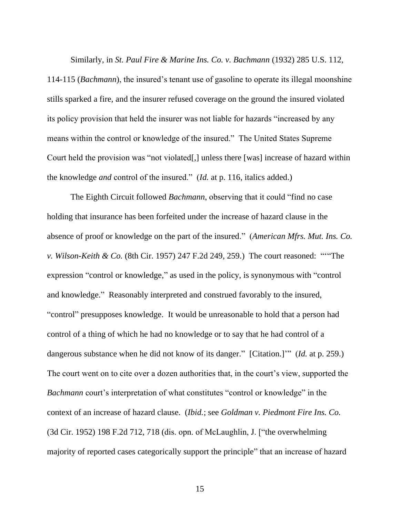Similarly, in *St. Paul Fire & Marine Ins. Co. v. Bachmann* (1932) 285 U.S. 112,

114-115 (*Bachmann*), the insured's tenant use of gasoline to operate its illegal moonshine stills sparked a fire, and the insurer refused coverage on the ground the insured violated its policy provision that held the insurer was not liable for hazards "increased by any means within the control or knowledge of the insured." The United States Supreme Court held the provision was "not violated[,] unless there [was] increase of hazard within the knowledge *and* control of the insured." (*Id.* at p. 116, italics added.)

The Eighth Circuit followed *Bachmann*, observing that it could "find no case holding that insurance has been forfeited under the increase of hazard clause in the absence of proof or knowledge on the part of the insured." (*American Mfrs. Mut. Ins. Co. v. Wilson-Keith & Co.* (8th Cir. 1957) 247 F.2d 249, 259.) The court reasoned: "'"The expression "control or knowledge," as used in the policy, is synonymous with "control and knowledge." Reasonably interpreted and construed favorably to the insured, "control" presupposes knowledge. It would be unreasonable to hold that a person had control of a thing of which he had no knowledge or to say that he had control of a dangerous substance when he did not know of its danger." [Citation.]'" (*Id.* at p. 259.) The court went on to cite over a dozen authorities that, in the court's view, supported the *Bachmann* court's interpretation of what constitutes "control or knowledge" in the context of an increase of hazard clause. (*Ibid.*; see *Goldman v. Piedmont Fire Ins. Co.*  (3d Cir. 1952) 198 F.2d 712, 718 (dis. opn. of McLaughlin, J. ["the overwhelming majority of reported cases categorically support the principle" that an increase of hazard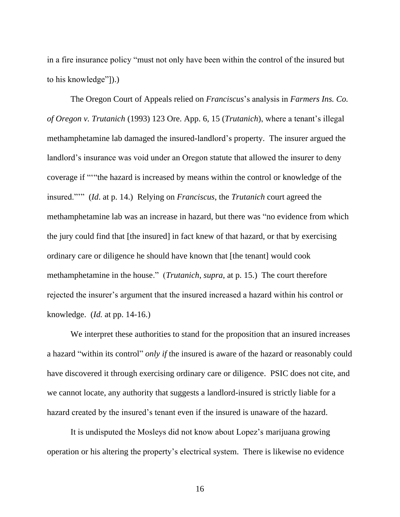in a fire insurance policy "must not only have been within the control of the insured but to his knowledge"]).)

The Oregon Court of Appeals relied on *Franciscus*'s analysis in *Farmers Ins. Co. of Oregon v. Trutanich* (1993) 123 Ore. App. 6, 15 (*Trutanich*), where a tenant's illegal methamphetamine lab damaged the insured-landlord's property. The insurer argued the landlord's insurance was void under an Oregon statute that allowed the insurer to deny coverage if "'"the hazard is increased by means within the control or knowledge of the insured."'" (*Id*. at p. 14.) Relying on *Franciscus*, the *Trutanich* court agreed the methamphetamine lab was an increase in hazard, but there was "no evidence from which the jury could find that [the insured] in fact knew of that hazard, or that by exercising ordinary care or diligence he should have known that [the tenant] would cook methamphetamine in the house." (*Trutanich*, *supra*, at p. 15.) The court therefore rejected the insurer's argument that the insured increased a hazard within his control or knowledge. (*Id.* at pp. 14-16.)

We interpret these authorities to stand for the proposition that an insured increases a hazard "within its control" *only if* the insured is aware of the hazard or reasonably could have discovered it through exercising ordinary care or diligence. PSIC does not cite, and we cannot locate, any authority that suggests a landlord-insured is strictly liable for a hazard created by the insured's tenant even if the insured is unaware of the hazard.

It is undisputed the Mosleys did not know about Lopez's marijuana growing operation or his altering the property's electrical system. There is likewise no evidence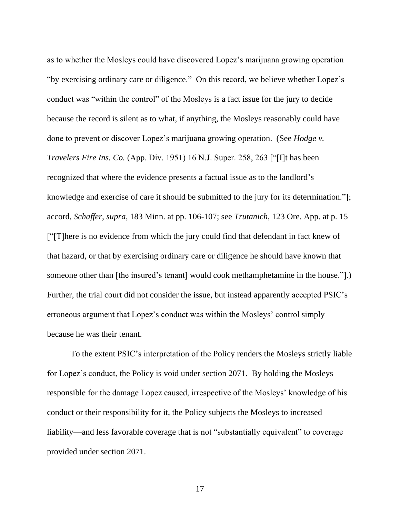as to whether the Mosleys could have discovered Lopez's marijuana growing operation "by exercising ordinary care or diligence." On this record, we believe whether Lopez's conduct was "within the control" of the Mosleys is a fact issue for the jury to decide because the record is silent as to what, if anything, the Mosleys reasonably could have done to prevent or discover Lopez's marijuana growing operation. (See *Hodge v. Travelers Fire Ins. Co.* (App. Div. 1951) 16 N.J. Super. 258, 263 ["[I]t has been recognized that where the evidence presents a factual issue as to the landlord's knowledge and exercise of care it should be submitted to the jury for its determination."]; accord, *Schaffer*, *supra*, 183 Minn. at pp. 106-107; see *Trutanich*, 123 Ore. App. at p. 15 ["[T]here is no evidence from which the jury could find that defendant in fact knew of that hazard, or that by exercising ordinary care or diligence he should have known that someone other than [the insured's tenant] would cook methamphetamine in the house."].) Further, the trial court did not consider the issue, but instead apparently accepted PSIC's erroneous argument that Lopez's conduct was within the Mosleys' control simply because he was their tenant.

To the extent PSIC's interpretation of the Policy renders the Mosleys strictly liable for Lopez's conduct, the Policy is void under section 2071. By holding the Mosleys responsible for the damage Lopez caused, irrespective of the Mosleys' knowledge of his conduct or their responsibility for it, the Policy subjects the Mosleys to increased liability—and less favorable coverage that is not "substantially equivalent" to coverage provided under section 2071.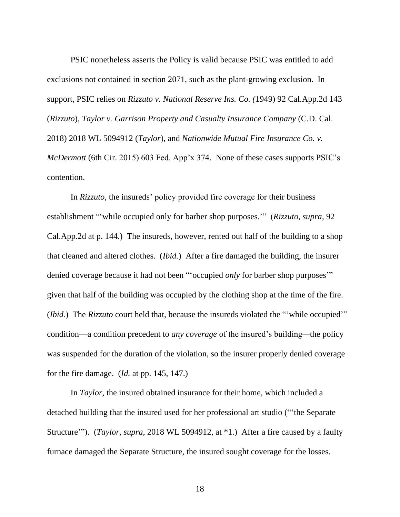PSIC nonetheless asserts the Policy is valid because PSIC was entitled to add exclusions not contained in section 2071, such as the plant-growing exclusion. In support, PSIC relies on *Rizzuto v. National Reserve Ins. Co. (*1949) 92 Cal.App.2d 143 (*Rizzuto*), *Taylor v. Garrison Property and Casualty Insurance Company* (C.D. Cal. 2018) 2018 WL 5094912 (*Taylor*), and *Nationwide Mutual Fire Insurance Co. v. McDermott* (6th Cir. 2015) 603 Fed. App'x 374. None of these cases supports PSIC's contention.

In *Rizzuto*, the insureds' policy provided fire coverage for their business establishment "'while occupied only for barber shop purposes.'" (*Rizzuto*, *supra*, 92 Cal.App.2d at p. 144.) The insureds, however, rented out half of the building to a shop that cleaned and altered clothes. (*Ibid.*) After a fire damaged the building, the insurer denied coverage because it had not been "'occupied *only* for barber shop purposes'" given that half of the building was occupied by the clothing shop at the time of the fire. (*Ibid.*) The *Rizzuto* court held that, because the insureds violated the ""while occupied" condition—a condition precedent to *any coverage* of the insured's building*—*the policy was suspended for the duration of the violation, so the insurer properly denied coverage for the fire damage. (*Id.* at pp. 145, 147.)

In *Taylor*, the insured obtained insurance for their home, which included a detached building that the insured used for her professional art studio ("'the Separate Structure'"). (*Taylor*, *supra*, 2018 WL 5094912, at \*1.) After a fire caused by a faulty furnace damaged the Separate Structure, the insured sought coverage for the losses.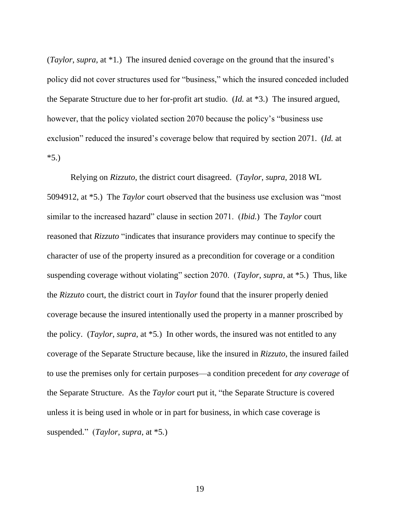(*Taylor*, *supra*, at \*1*.*) The insured denied coverage on the ground that the insured's policy did not cover structures used for "business," which the insured conceded included the Separate Structure due to her for-profit art studio. (*Id.* at \*3.) The insured argued, however, that the policy violated section 2070 because the policy's "business use exclusion" reduced the insured's coverage below that required by section 2071. (*Id.* at  $*5.$ 

Relying on *Rizzuto*, the district court disagreed. (*Taylor*, *supra*, 2018 WL 5094912, at \*5.) The *Taylor* court observed that the business use exclusion was "most similar to the increased hazard" clause in section 2071. (*Ibid.*) The *Taylor* court reasoned that *Rizzuto* "indicates that insurance providers may continue to specify the character of use of the property insured as a precondition for coverage or a condition suspending coverage without violating" section 2070. (*Taylor*, *supra*, at \*5*.*) Thus, like the *Rizzuto* court, the district court in *Taylor* found that the insurer properly denied coverage because the insured intentionally used the property in a manner proscribed by the policy. (*Taylor*, *supra*, at \*5*.*) In other words, the insured was not entitled to any coverage of the Separate Structure because, like the insured in *Rizzuto*, the insured failed to use the premises only for certain purposes—a condition precedent for *any coverage* of the Separate Structure. As the *Taylor* court put it, "the Separate Structure is covered unless it is being used in whole or in part for business, in which case coverage is suspended." (*Taylor*, *supra*, at \*5*.*)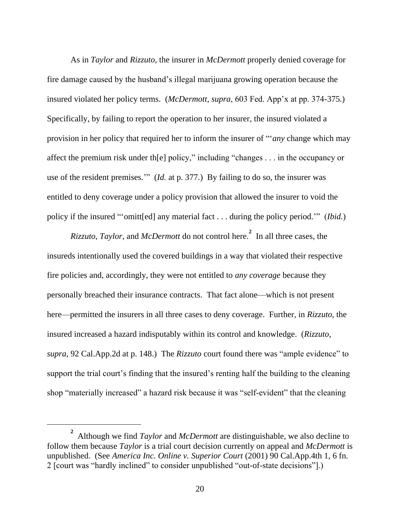As in *Taylor* and *Rizzuto*, the insurer in *McDermott* properly denied coverage for fire damage caused by the husband's illegal marijuana growing operation because the insured violated her policy terms. (*McDermott*, *supra*, 603 Fed. App'x at pp. 374-375.) Specifically, by failing to report the operation to her insurer, the insured violated a provision in her policy that required her to inform the insurer of "'*any* change which may affect the premium risk under th[e] policy," including "changes . . . in the occupancy or use of the resident premises.'" (*Id.* at p. 377.) By failing to do so, the insurer was entitled to deny coverage under a policy provision that allowed the insurer to void the policy if the insured "'omitt[ed] any material fact . . . during the policy period.'" (*Ibid.*)

*Rizzuto*, *Taylor*, and *McDermott* do not control here.**<sup>2</sup>** In all three cases, the insureds intentionally used the covered buildings in a way that violated their respective fire policies and, accordingly, they were not entitled to *any coverage* because they personally breached their insurance contracts. That fact alone—which is not present here—permitted the insurers in all three cases to deny coverage. Further, in *Rizzuto*, the insured increased a hazard indisputably within its control and knowledge. (*Rizzuto*, *supra*, 92 Cal.App.2d at p. 148.) The *Rizzuto* court found there was "ample evidence" to support the trial court's finding that the insured's renting half the building to the cleaning shop "materially increased" a hazard risk because it was "self-evident" that the cleaning

**<sup>2</sup>** Although we find *Taylor* and *McDermott* are distinguishable, we also decline to follow them because *Taylor* is a trial court decision currently on appeal and *McDermott* is unpublished. (See *America Inc. Online v. Superior Court* (2001) 90 Cal.App.4th 1, 6 fn. 2 [court was "hardly inclined" to consider unpublished "out-of-state decisions"].)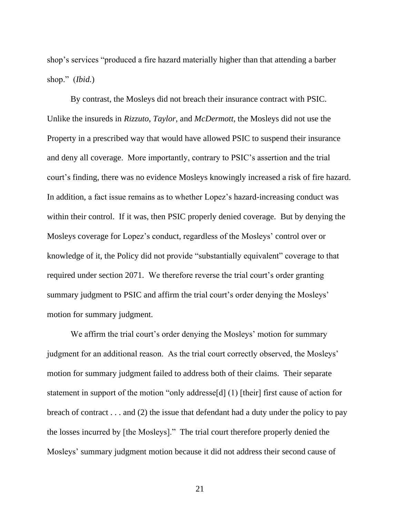shop's services "produced a fire hazard materially higher than that attending a barber shop." (*Ibid.*)

By contrast, the Mosleys did not breach their insurance contract with PSIC. Unlike the insureds in *Rizzuto*, *Taylor*, and *McDermott*, the Mosleys did not use the Property in a prescribed way that would have allowed PSIC to suspend their insurance and deny all coverage. More importantly, contrary to PSIC's assertion and the trial court's finding, there was no evidence Mosleys knowingly increased a risk of fire hazard. In addition, a fact issue remains as to whether Lopez's hazard-increasing conduct was within their control. If it was, then PSIC properly denied coverage. But by denying the Mosleys coverage for Lopez's conduct, regardless of the Mosleys' control over or knowledge of it, the Policy did not provide "substantially equivalent" coverage to that required under section 2071. We therefore reverse the trial court's order granting summary judgment to PSIC and affirm the trial court's order denying the Mosleys' motion for summary judgment.

We affirm the trial court's order denying the Mosleys' motion for summary judgment for an additional reason. As the trial court correctly observed, the Mosleys' motion for summary judgment failed to address both of their claims. Their separate statement in support of the motion "only addresse[d] (1) [their] first cause of action for breach of contract . . . and (2) the issue that defendant had a duty under the policy to pay the losses incurred by [the Mosleys]." The trial court therefore properly denied the Mosleys' summary judgment motion because it did not address their second cause of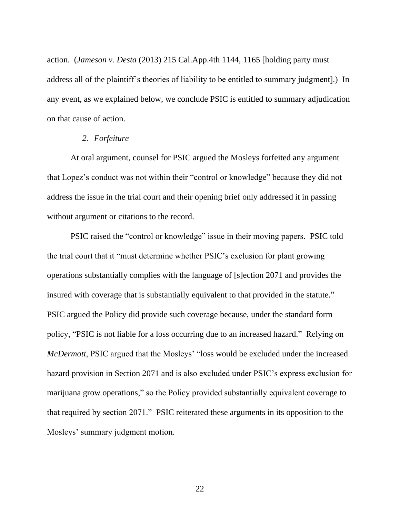action. (*Jameson v. Desta* (2013) 215 Cal.App.4th 1144, 1165 [holding party must address all of the plaintiff's theories of liability to be entitled to summary judgment].) In any event, as we explained below, we conclude PSIC is entitled to summary adjudication on that cause of action.

#### *2. Forfeiture*

At oral argument, counsel for PSIC argued the Mosleys forfeited any argument that Lopez's conduct was not within their "control or knowledge" because they did not address the issue in the trial court and their opening brief only addressed it in passing without argument or citations to the record.

PSIC raised the "control or knowledge" issue in their moving papers. PSIC told the trial court that it "must determine whether PSIC's exclusion for plant growing operations substantially complies with the language of [s]ection 2071 and provides the insured with coverage that is substantially equivalent to that provided in the statute." PSIC argued the Policy did provide such coverage because, under the standard form policy, "PSIC is not liable for a loss occurring due to an increased hazard." Relying on *McDermott*, PSIC argued that the Mosleys' "loss would be excluded under the increased hazard provision in Section 2071 and is also excluded under PSIC's express exclusion for marijuana grow operations," so the Policy provided substantially equivalent coverage to that required by section 2071." PSIC reiterated these arguments in its opposition to the Mosleys' summary judgment motion.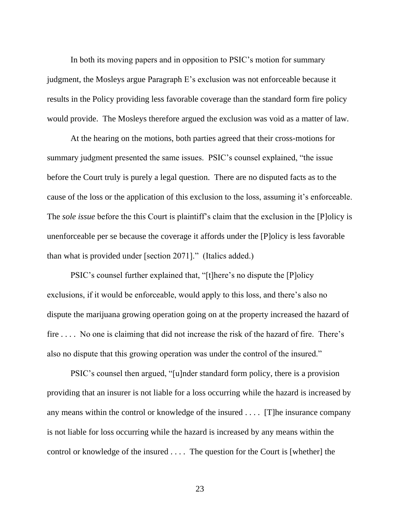In both its moving papers and in opposition to PSIC's motion for summary judgment, the Mosleys argue Paragraph E's exclusion was not enforceable because it results in the Policy providing less favorable coverage than the standard form fire policy would provide. The Mosleys therefore argued the exclusion was void as a matter of law.

At the hearing on the motions, both parties agreed that their cross-motions for summary judgment presented the same issues. PSIC's counsel explained, "the issue before the Court truly is purely a legal question. There are no disputed facts as to the cause of the loss or the application of this exclusion to the loss, assuming it's enforceable. The *sole issue* before the this Court is plaintiff's claim that the exclusion in the [P]olicy is unenforceable per se because the coverage it affords under the [P]olicy is less favorable than what is provided under [section 2071]." (Italics added.)

PSIC's counsel further explained that, "[t]here's no dispute the [P]olicy exclusions, if it would be enforceable, would apply to this loss, and there's also no dispute the marijuana growing operation going on at the property increased the hazard of fire . . . . No one is claiming that did not increase the risk of the hazard of fire. There's also no dispute that this growing operation was under the control of the insured."

PSIC's counsel then argued, "[u]nder standard form policy, there is a provision providing that an insurer is not liable for a loss occurring while the hazard is increased by any means within the control or knowledge of the insured . . . . [T]he insurance company is not liable for loss occurring while the hazard is increased by any means within the control or knowledge of the insured . . . . The question for the Court is [whether] the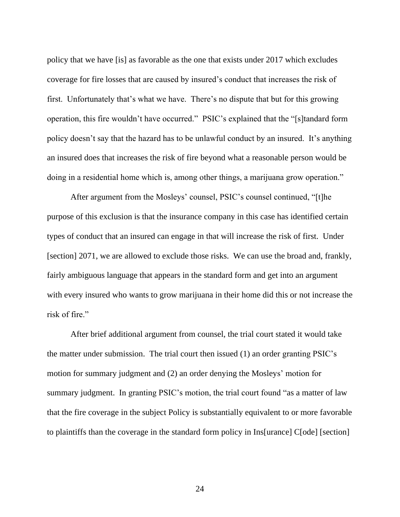policy that we have [is] as favorable as the one that exists under 2017 which excludes coverage for fire losses that are caused by insured's conduct that increases the risk of first. Unfortunately that's what we have. There's no dispute that but for this growing operation, this fire wouldn't have occurred." PSIC's explained that the "[s]tandard form policy doesn't say that the hazard has to be unlawful conduct by an insured. It's anything an insured does that increases the risk of fire beyond what a reasonable person would be doing in a residential home which is, among other things, a marijuana grow operation."

After argument from the Mosleys' counsel, PSIC's counsel continued, "[t]he purpose of this exclusion is that the insurance company in this case has identified certain types of conduct that an insured can engage in that will increase the risk of first. Under [section] 2071, we are allowed to exclude those risks. We can use the broad and, frankly, fairly ambiguous language that appears in the standard form and get into an argument with every insured who wants to grow marijuana in their home did this or not increase the risk of fire."

After brief additional argument from counsel, the trial court stated it would take the matter under submission. The trial court then issued (1) an order granting PSIC's motion for summary judgment and (2) an order denying the Mosleys' motion for summary judgment. In granting PSIC's motion, the trial court found "as a matter of law that the fire coverage in the subject Policy is substantially equivalent to or more favorable to plaintiffs than the coverage in the standard form policy in Ins[urance] C[ode] [section]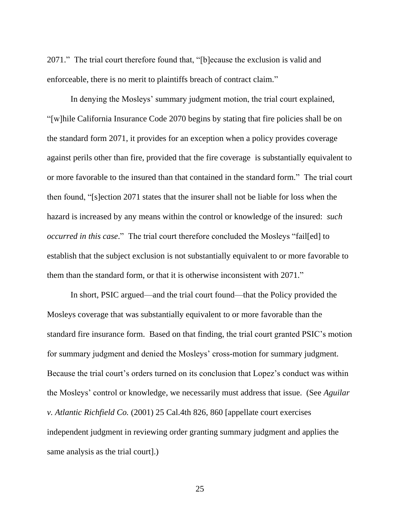2071." The trial court therefore found that, "[b]ecause the exclusion is valid and enforceable, there is no merit to plaintiffs breach of contract claim."

In denying the Mosleys' summary judgment motion, the trial court explained, "[w]hile California Insurance Code 2070 begins by stating that fire policies shall be on the standard form 2071, it provides for an exception when a policy provides coverage against perils other than fire, provided that the fire coverage is substantially equivalent to or more favorable to the insured than that contained in the standard form." The trial court then found, "[s]ection 2071 states that the insurer shall not be liable for loss when the hazard is increased by any means within the control or knowledge of the insured: *such occurred in this case*." The trial court therefore concluded the Mosleys "fail[ed] to establish that the subject exclusion is not substantially equivalent to or more favorable to them than the standard form, or that it is otherwise inconsistent with 2071."

In short, PSIC argued—and the trial court found—that the Policy provided the Mosleys coverage that was substantially equivalent to or more favorable than the standard fire insurance form. Based on that finding, the trial court granted PSIC's motion for summary judgment and denied the Mosleys' cross-motion for summary judgment. Because the trial court's orders turned on its conclusion that Lopez's conduct was within the Mosleys' control or knowledge, we necessarily must address that issue. (See *Aguilar v. Atlantic Richfield Co.* (2001) 25 Cal.4th 826, 860 [appellate court exercises independent judgment in reviewing order granting summary judgment and applies the same analysis as the trial court].)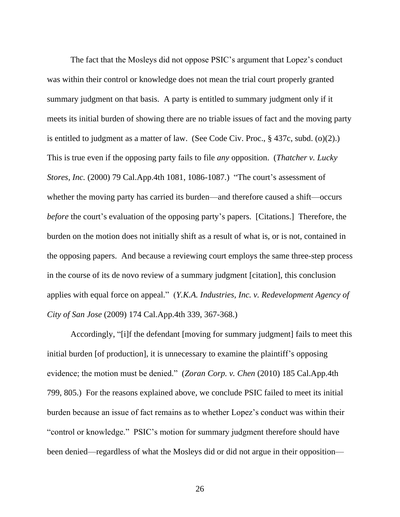The fact that the Mosleys did not oppose PSIC's argument that Lopez's conduct was within their control or knowledge does not mean the trial court properly granted summary judgment on that basis. A party is entitled to summary judgment only if it meets its initial burden of showing there are no triable issues of fact and the moving party is entitled to judgment as a matter of law. (See Code Civ. Proc., § 437c, subd. (o)(2).) This is true even if the opposing party fails to file *any* opposition. (*Thatcher v. Lucky Stores, Inc.* (2000) 79 Cal.App.4th 1081, 1086-1087.) "The court's assessment of whether the moving party has carried its burden—and therefore caused a shift—occurs *before* the court's evaluation of the opposing party's papers. [Citations.] Therefore, the burden on the motion does not initially shift as a result of what is, or is not, contained in the opposing papers. And because a reviewing court employs the same three-step process in the course of its de novo review of a summary judgment [citation], this conclusion applies with equal force on appeal." (*Y.K.A. Industries, Inc. v. Redevelopment Agency of City of San Jose* (2009) 174 Cal.App.4th 339, 367-368.)

Accordingly, "[i]f the defendant [moving for summary judgment] fails to meet this initial burden [of production], it is unnecessary to examine the plaintiff's opposing evidence; the motion must be denied." (*Zoran Corp. v. Chen* (2010) 185 Cal.App.4th 799, 805.) For the reasons explained above, we conclude PSIC failed to meet its initial burden because an issue of fact remains as to whether Lopez's conduct was within their "control or knowledge." PSIC's motion for summary judgment therefore should have been denied—regardless of what the Mosleys did or did not argue in their opposition—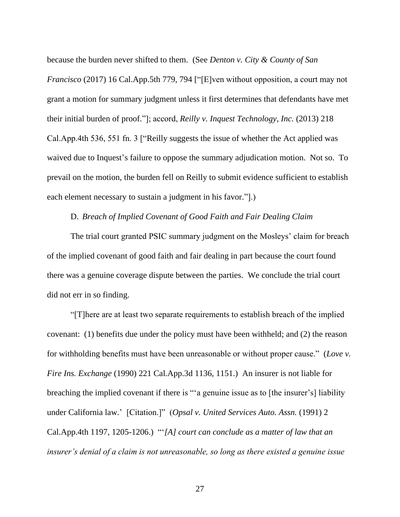because the burden never shifted to them. (See *Denton v. City & County of San Francisco* (2017) 16 Cal.App.5th 779, 794 ["[E]ven without opposition, a court may not grant a motion for summary judgment unless it first determines that defendants have met their initial burden of proof."]; accord, *Reilly v. Inquest Technology, Inc.* (2013) 218 Cal.App.4th 536, 551 fn. 3 ["Reilly suggests the issue of whether the Act applied was waived due to Inquest's failure to oppose the summary adjudication motion. Not so. To prevail on the motion, the burden fell on Reilly to submit evidence sufficient to establish each element necessary to sustain a judgment in his favor."...

## D. *Breach of Implied Covenant of Good Faith and Fair Dealing Claim*

The trial court granted PSIC summary judgment on the Mosleys' claim for breach of the implied covenant of good faith and fair dealing in part because the court found there was a genuine coverage dispute between the parties. We conclude the trial court did not err in so finding.

"[T]here are at least two separate requirements to establish breach of the implied covenant: (1) benefits due under the policy must have been withheld; and (2) the reason for withholding benefits must have been unreasonable or without proper cause." (*Love v. Fire Ins. Exchange* (1990) 221 Cal.App.3d 1136, 1151.) An insurer is not liable for breaching the implied covenant if there is "'a genuine issue as to [the insurer's] liability under California law.' [Citation.]" (*Opsal v. United Services Auto. Assn.* (1991) 2 Cal.App.4th 1197, 1205-1206.) "'*[A] court can conclude as a matter of law that an insurer's denial of a claim is not unreasonable, so long as there existed a genuine issue*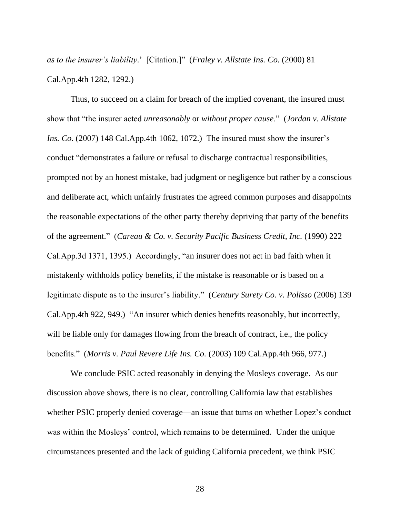*as to the insurer's liability*.' [Citation.]" (*Fraley v. Allstate Ins. Co.* (2000) 81 Cal.App.4th 1282, 1292.)

Thus, to succeed on a claim for breach of the implied covenant, the insured must show that "the insurer acted *unreasonably* or *without proper cause*." (*Jordan v. Allstate Ins. Co.* (2007) 148 Cal.App.4th 1062, 1072.) The insured must show the insurer's conduct "demonstrates a failure or refusal to discharge contractual responsibilities, prompted not by an honest mistake, bad judgment or negligence but rather by a conscious and deliberate act, which unfairly frustrates the agreed common purposes and disappoints the reasonable expectations of the other party thereby depriving that party of the benefits of the agreement." (*Careau & Co. v. Security Pacific Business Credit, Inc.* (1990) 222 Cal.App.3d 1371, 1395.) Accordingly, "an insurer does not act in bad faith when it mistakenly withholds policy benefits, if the mistake is reasonable or is based on a legitimate dispute as to the insurer's liability." (*Century Surety Co. v. Polisso* (2006) 139 Cal.App.4th 922, 949.) "An insurer which denies benefits reasonably, but incorrectly, will be liable only for damages flowing from the breach of contract, i.e., the policy benefits." (*Morris v. Paul Revere Life Ins. Co.* (2003) 109 Cal.App.4th 966, 977.)

We conclude PSIC acted reasonably in denying the Mosleys coverage. As our discussion above shows, there is no clear, controlling California law that establishes whether PSIC properly denied coverage—an issue that turns on whether Lopez's conduct was within the Mosleys' control, which remains to be determined. Under the unique circumstances presented and the lack of guiding California precedent, we think PSIC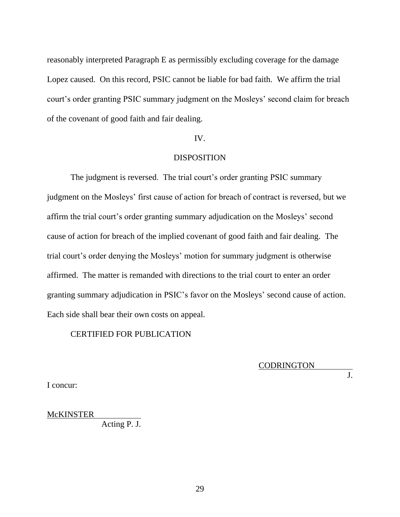reasonably interpreted Paragraph E as permissibly excluding coverage for the damage Lopez caused. On this record, PSIC cannot be liable for bad faith. We affirm the trial court's order granting PSIC summary judgment on the Mosleys' second claim for breach of the covenant of good faith and fair dealing.

## IV.

## DISPOSITION

The judgment is reversed. The trial court's order granting PSIC summary judgment on the Mosleys' first cause of action for breach of contract is reversed, but we affirm the trial court's order granting summary adjudication on the Mosleys' second cause of action for breach of the implied covenant of good faith and fair dealing. The trial court's order denying the Mosleys' motion for summary judgment is otherwise affirmed. The matter is remanded with directions to the trial court to enter an order granting summary adjudication in PSIC's favor on the Mosleys' second cause of action. Each side shall bear their own costs on appeal.

## CERTIFIED FOR PUBLICATION

CODRINGTON

I concur:

 $\overline{J}$ .

McKINSTER

Acting P. J.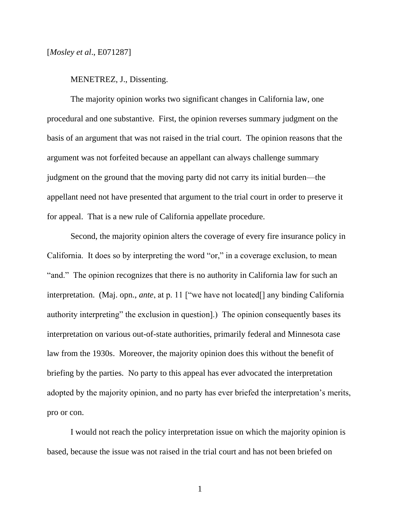## MENETREZ, J., Dissenting.

The majority opinion works two significant changes in California law, one procedural and one substantive. First, the opinion reverses summary judgment on the basis of an argument that was not raised in the trial court. The opinion reasons that the argument was not forfeited because an appellant can always challenge summary judgment on the ground that the moving party did not carry its initial burden—the appellant need not have presented that argument to the trial court in order to preserve it for appeal. That is a new rule of California appellate procedure.

Second, the majority opinion alters the coverage of every fire insurance policy in California. It does so by interpreting the word "or," in a coverage exclusion, to mean "and." The opinion recognizes that there is no authority in California law for such an interpretation. (Maj. opn., *ante*, at p. 11 ["we have not located[] any binding California authority interpreting" the exclusion in question].) The opinion consequently bases its interpretation on various out-of-state authorities, primarily federal and Minnesota case law from the 1930s. Moreover, the majority opinion does this without the benefit of briefing by the parties. No party to this appeal has ever advocated the interpretation adopted by the majority opinion, and no party has ever briefed the interpretation's merits, pro or con.

I would not reach the policy interpretation issue on which the majority opinion is based, because the issue was not raised in the trial court and has not been briefed on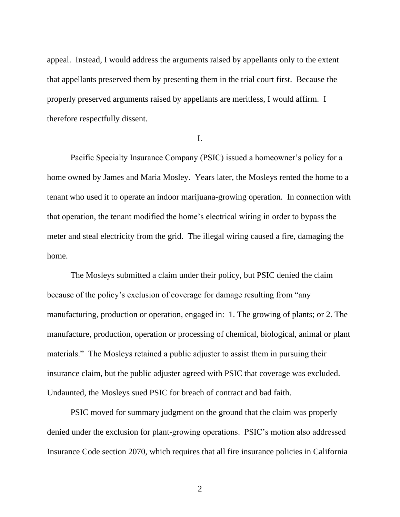appeal. Instead, I would address the arguments raised by appellants only to the extent that appellants preserved them by presenting them in the trial court first. Because the properly preserved arguments raised by appellants are meritless, I would affirm. I therefore respectfully dissent.

## I.

Pacific Specialty Insurance Company (PSIC) issued a homeowner's policy for a home owned by James and Maria Mosley. Years later, the Mosleys rented the home to a tenant who used it to operate an indoor marijuana-growing operation. In connection with that operation, the tenant modified the home's electrical wiring in order to bypass the meter and steal electricity from the grid. The illegal wiring caused a fire, damaging the home.

The Mosleys submitted a claim under their policy, but PSIC denied the claim because of the policy's exclusion of coverage for damage resulting from "any manufacturing, production or operation, engaged in: 1. The growing of plants; or 2. The manufacture, production, operation or processing of chemical, biological, animal or plant materials." The Mosleys retained a public adjuster to assist them in pursuing their insurance claim, but the public adjuster agreed with PSIC that coverage was excluded. Undaunted, the Mosleys sued PSIC for breach of contract and bad faith.

PSIC moved for summary judgment on the ground that the claim was properly denied under the exclusion for plant-growing operations. PSIC's motion also addressed Insurance Code section 2070, which requires that all fire insurance policies in California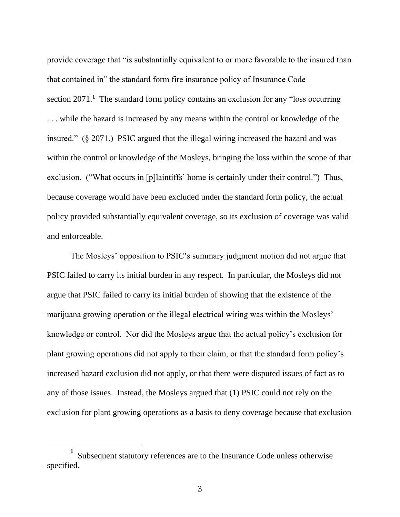provide coverage that "is substantially equivalent to or more favorable to the insured than that contained in" the standard form fire insurance policy of Insurance Code section 2071.<sup>1</sup> The standard form policy contains an exclusion for any "loss occurring . . . while the hazard is increased by any means within the control or knowledge of the insured." (§ 2071.) PSIC argued that the illegal wiring increased the hazard and was within the control or knowledge of the Mosleys, bringing the loss within the scope of that exclusion. ("What occurs in [p]laintiffs' home is certainly under their control.") Thus, because coverage would have been excluded under the standard form policy, the actual policy provided substantially equivalent coverage, so its exclusion of coverage was valid and enforceable.

The Mosleys' opposition to PSIC's summary judgment motion did not argue that PSIC failed to carry its initial burden in any respect. In particular, the Mosleys did not argue that PSIC failed to carry its initial burden of showing that the existence of the marijuana growing operation or the illegal electrical wiring was within the Mosleys' knowledge or control. Nor did the Mosleys argue that the actual policy's exclusion for plant growing operations did not apply to their claim, or that the standard form policy's increased hazard exclusion did not apply, or that there were disputed issues of fact as to any of those issues. Instead, the Mosleys argued that (1) PSIC could not rely on the exclusion for plant growing operations as a basis to deny coverage because that exclusion

**<sup>1</sup>** Subsequent statutory references are to the Insurance Code unless otherwise specified.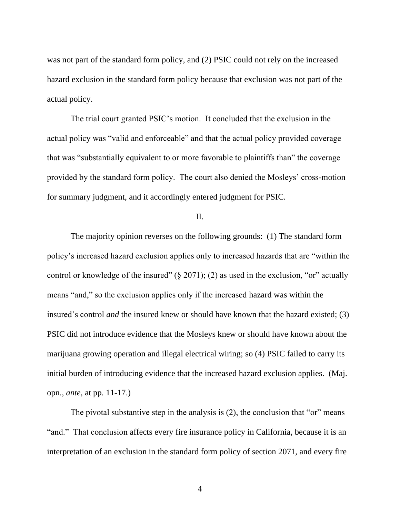was not part of the standard form policy, and (2) PSIC could not rely on the increased hazard exclusion in the standard form policy because that exclusion was not part of the actual policy.

The trial court granted PSIC's motion. It concluded that the exclusion in the actual policy was "valid and enforceable" and that the actual policy provided coverage that was "substantially equivalent to or more favorable to plaintiffs than" the coverage provided by the standard form policy. The court also denied the Mosleys' cross-motion for summary judgment, and it accordingly entered judgment for PSIC.

## II.

The majority opinion reverses on the following grounds: (1) The standard form policy's increased hazard exclusion applies only to increased hazards that are "within the control or knowledge of the insured"  $(\S 2071)$ ; (2) as used in the exclusion, "or" actually means "and," so the exclusion applies only if the increased hazard was within the insured's control *and* the insured knew or should have known that the hazard existed; (3) PSIC did not introduce evidence that the Mosleys knew or should have known about the marijuana growing operation and illegal electrical wiring; so (4) PSIC failed to carry its initial burden of introducing evidence that the increased hazard exclusion applies. (Maj. opn., *ante*, at pp. 11-17.)

The pivotal substantive step in the analysis is (2), the conclusion that "or" means "and." That conclusion affects every fire insurance policy in California, because it is an interpretation of an exclusion in the standard form policy of section 2071, and every fire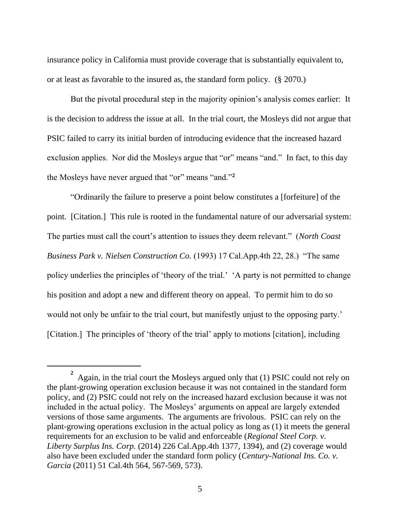insurance policy in California must provide coverage that is substantially equivalent to, or at least as favorable to the insured as, the standard form policy. (§ 2070.)

But the pivotal procedural step in the majority opinion's analysis comes earlier: It is the decision to address the issue at all. In the trial court, the Mosleys did not argue that PSIC failed to carry its initial burden of introducing evidence that the increased hazard exclusion applies. Nor did the Mosleys argue that "or" means "and." In fact, to this day the Mosleys have never argued that "or" means "and."**<sup>2</sup>**

"Ordinarily the failure to preserve a point below constitutes a [forfeiture] of the point. [Citation.] This rule is rooted in the fundamental nature of our adversarial system: The parties must call the court's attention to issues they deem relevant." (*North Coast Business Park v. Nielsen Construction Co.* (1993) 17 Cal.App.4th 22, 28.) "The same policy underlies the principles of 'theory of the trial.' 'A party is not permitted to change his position and adopt a new and different theory on appeal. To permit him to do so would not only be unfair to the trial court, but manifestly unjust to the opposing party.' [Citation.] The principles of 'theory of the trial' apply to motions [citation], including

<sup>&</sup>lt;sup>2</sup> Again, in the trial court the Mosleys argued only that (1) PSIC could not rely on the plant-growing operation exclusion because it was not contained in the standard form policy, and (2) PSIC could not rely on the increased hazard exclusion because it was not included in the actual policy. The Mosleys' arguments on appeal are largely extended versions of those same arguments. The arguments are frivolous. PSIC can rely on the plant-growing operations exclusion in the actual policy as long as (1) it meets the general requirements for an exclusion to be valid and enforceable (*Regional Steel Corp. v. Liberty Surplus Ins. Corp.* (2014) 226 Cal.App.4th 1377, 1394), and (2) coverage would also have been excluded under the standard form policy (*Century-National Ins. Co. v. Garcia* (2011) 51 Cal.4th 564, 567-569, 573).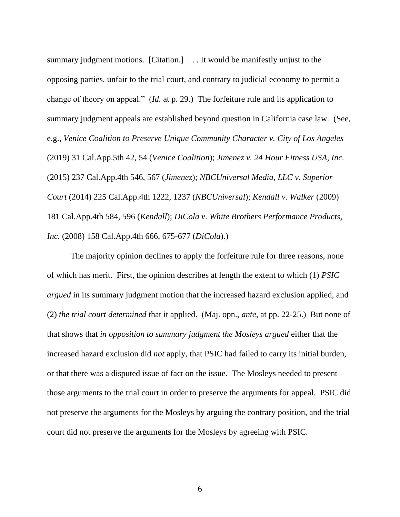summary judgment motions. [Citation.] . . . It would be manifestly unjust to the opposing parties, unfair to the trial court, and contrary to judicial economy to permit a change of theory on appeal." (*Id.* at p. 29.) The forfeiture rule and its application to summary judgment appeals are established beyond question in California case law. (See, e.g., *Venice Coalition to Preserve Unique Community Character v. City of Los Angeles* (2019) 31 Cal.App.5th 42, 54 (*Venice Coalition*); *Jimenez v. 24 Hour Fitness USA, Inc.* (2015) 237 Cal.App.4th 546, 567 (*Jimenez*); *NBCUniversal Media, LLC v. Superior Court* (2014) 225 Cal.App.4th 1222, 1237 (*NBCUniversal*); *Kendall v. Walker* (2009) 181 Cal.App.4th 584, 596 (*Kendall*); *DiCola v. White Brothers Performance Products, Inc.* (2008) 158 Cal.App.4th 666, 675-677 (*DiCola*).)

The majority opinion declines to apply the forfeiture rule for three reasons, none of which has merit. First, the opinion describes at length the extent to which (1) *PSIC argued* in its summary judgment motion that the increased hazard exclusion applied, and (2) *the trial court determined* that it applied. (Maj. opn., *ante*, at pp. 22-25.) But none of that shows that *in opposition to summary judgment the Mosleys argued* either that the increased hazard exclusion did *not* apply, that PSIC had failed to carry its initial burden, or that there was a disputed issue of fact on the issue. The Mosleys needed to present those arguments to the trial court in order to preserve the arguments for appeal. PSIC did not preserve the arguments for the Mosleys by arguing the contrary position, and the trial court did not preserve the arguments for the Mosleys by agreeing with PSIC.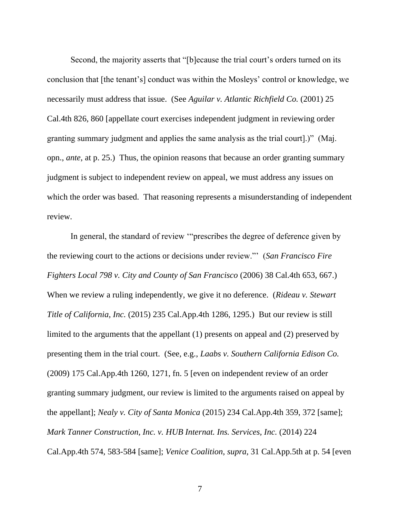Second, the majority asserts that "[b]ecause the trial court's orders turned on its conclusion that [the tenant's] conduct was within the Mosleys' control or knowledge, we necessarily must address that issue. (See *Aguilar v. Atlantic Richfield Co.* (2001) 25 Cal.4th 826, 860 [appellate court exercises independent judgment in reviewing order granting summary judgment and applies the same analysis as the trial court].)" (Maj. opn., *ante*, at p. 25.) Thus, the opinion reasons that because an order granting summary judgment is subject to independent review on appeal, we must address any issues on which the order was based. That reasoning represents a misunderstanding of independent review.

In general, the standard of review '"prescribes the degree of deference given by the reviewing court to the actions or decisions under review."' (*San Francisco Fire Fighters Local 798 v. City and County of San Francisco* (2006) 38 Cal.4th 653, 667.) When we review a ruling independently, we give it no deference. (*Rideau v. Stewart Title of California, Inc.* (2015) 235 Cal.App.4th 1286, 1295.) But our review is still limited to the arguments that the appellant (1) presents on appeal and (2) preserved by presenting them in the trial court. (See, e.g., *Laabs v. Southern California Edison Co.* (2009) 175 Cal.App.4th 1260, 1271, fn. 5 [even on independent review of an order granting summary judgment, our review is limited to the arguments raised on appeal by the appellant]; *Nealy v. City of Santa Monica* (2015) 234 Cal.App.4th 359, 372 [same]; *Mark Tanner Construction, Inc. v. HUB Internat. Ins. Services, Inc.* (2014) 224 Cal.App.4th 574, 583-584 [same]; *Venice Coalition*, *supra*, 31 Cal.App.5th at p. 54 [even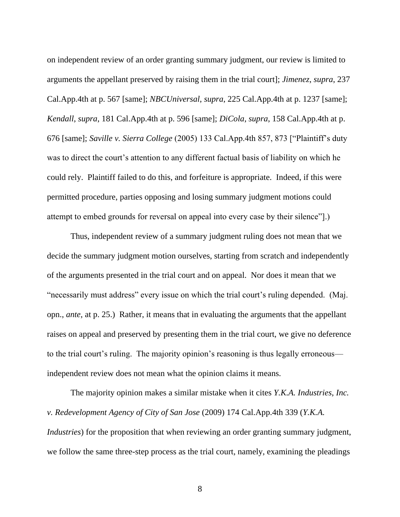on independent review of an order granting summary judgment, our review is limited to arguments the appellant preserved by raising them in the trial court]; *Jimenez*, *supra*, 237 Cal.App.4th at p. 567 [same]; *NBCUniversal*, *supra*, 225 Cal.App.4th at p. 1237 [same]; *Kendall*, *supra*, 181 Cal.App.4th at p. 596 [same]; *DiCola*, *supra*, 158 Cal.App.4th at p. 676 [same]; *Saville v. Sierra College* (2005) 133 Cal.App.4th 857, 873 ["Plaintiff's duty was to direct the court's attention to any different factual basis of liability on which he could rely. Plaintiff failed to do this, and forfeiture is appropriate. Indeed, if this were permitted procedure, parties opposing and losing summary judgment motions could attempt to embed grounds for reversal on appeal into every case by their silence"].)

Thus, independent review of a summary judgment ruling does not mean that we decide the summary judgment motion ourselves, starting from scratch and independently of the arguments presented in the trial court and on appeal. Nor does it mean that we "necessarily must address" every issue on which the trial court's ruling depended. (Maj. opn., *ante*, at p. 25.) Rather, it means that in evaluating the arguments that the appellant raises on appeal and preserved by presenting them in the trial court, we give no deference to the trial court's ruling. The majority opinion's reasoning is thus legally erroneous independent review does not mean what the opinion claims it means.

The majority opinion makes a similar mistake when it cites *Y.K.A. Industries, Inc. v. Redevelopment Agency of City of San Jose* (2009) 174 Cal.App.4th 339 (*Y.K.A. Industries*) for the proposition that when reviewing an order granting summary judgment, we follow the same three-step process as the trial court, namely, examining the pleadings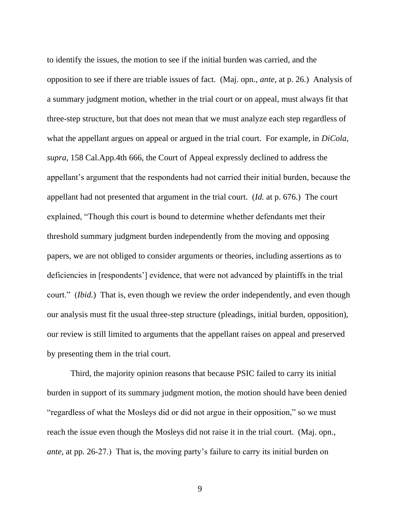to identify the issues, the motion to see if the initial burden was carried, and the opposition to see if there are triable issues of fact. (Maj. opn., *ante*, at p. 26.) Analysis of a summary judgment motion, whether in the trial court or on appeal, must always fit that three-step structure, but that does not mean that we must analyze each step regardless of what the appellant argues on appeal or argued in the trial court. For example, in *DiCola*, *supra*, 158 Cal.App.4th 666, the Court of Appeal expressly declined to address the appellant's argument that the respondents had not carried their initial burden, because the appellant had not presented that argument in the trial court. (*Id.* at p. 676.) The court explained, "Though this court is bound to determine whether defendants met their threshold summary judgment burden independently from the moving and opposing papers, we are not obliged to consider arguments or theories, including assertions as to deficiencies in [respondents'] evidence, that were not advanced by plaintiffs in the trial court." (*Ibid.*) That is, even though we review the order independently, and even though our analysis must fit the usual three-step structure (pleadings, initial burden, opposition), our review is still limited to arguments that the appellant raises on appeal and preserved by presenting them in the trial court.

Third, the majority opinion reasons that because PSIC failed to carry its initial burden in support of its summary judgment motion, the motion should have been denied "regardless of what the Mosleys did or did not argue in their opposition," so we must reach the issue even though the Mosleys did not raise it in the trial court. (Maj. opn., *ante*, at pp. 26-27.) That is, the moving party's failure to carry its initial burden on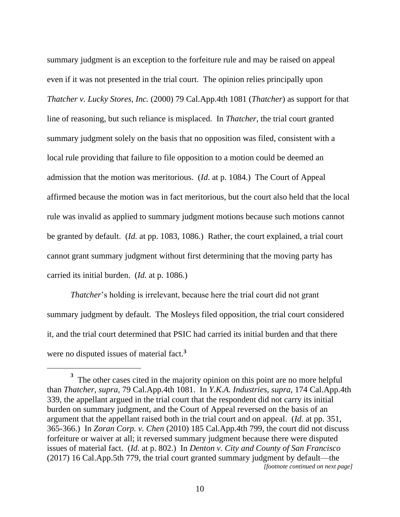summary judgment is an exception to the forfeiture rule and may be raised on appeal even if it was not presented in the trial court. The opinion relies principally upon *Thatcher v. Lucky Stores, Inc.* (2000) 79 Cal.App.4th 1081 (*Thatcher*) as support for that line of reasoning, but such reliance is misplaced. In *Thatcher*, the trial court granted summary judgment solely on the basis that no opposition was filed, consistent with a local rule providing that failure to file opposition to a motion could be deemed an admission that the motion was meritorious. (*Id*. at p. 1084.) The Court of Appeal affirmed because the motion was in fact meritorious, but the court also held that the local rule was invalid as applied to summary judgment motions because such motions cannot be granted by default. (*Id.* at pp. 1083, 1086.) Rather, the court explained, a trial court cannot grant summary judgment without first determining that the moving party has carried its initial burden. (*Id.* at p. 1086.)

*Thatcher*'s holding is irrelevant, because here the trial court did not grant summary judgment by default. The Mosleys filed opposition, the trial court considered it, and the trial court determined that PSIC had carried its initial burden and that there were no disputed issues of material fact.**<sup>3</sup>**

**<sup>3</sup>** The other cases cited in the majority opinion on this point are no more helpful than *Thatcher*, *supra*, 79 Cal.App.4th 1081. In *Y.K.A. Industries*, *supra*, 174 Cal.App.4th 339, the appellant argued in the trial court that the respondent did not carry its initial burden on summary judgment, and the Court of Appeal reversed on the basis of an argument that the appellant raised both in the trial court and on appeal. (*Id.* at pp. 351, 365-366.) In *Zoran Corp. v. Chen* (2010) 185 Cal.App.4th 799, the court did not discuss forfeiture or waiver at all; it reversed summary judgment because there were disputed issues of material fact. (*Id.* at p. 802.) In *Denton v. City and County of San Francisco* (2017) 16 Cal.App.5th 779, the trial court granted summary judgment by default—the *[footnote continued on next page]*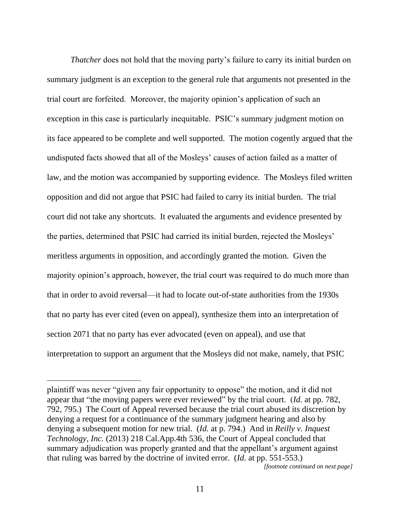*Thatcher* does not hold that the moving party's failure to carry its initial burden on summary judgment is an exception to the general rule that arguments not presented in the trial court are forfeited. Moreover, the majority opinion's application of such an exception in this case is particularly inequitable. PSIC's summary judgment motion on its face appeared to be complete and well supported. The motion cogently argued that the undisputed facts showed that all of the Mosleys' causes of action failed as a matter of law, and the motion was accompanied by supporting evidence. The Mosleys filed written opposition and did not argue that PSIC had failed to carry its initial burden. The trial court did not take any shortcuts. It evaluated the arguments and evidence presented by the parties, determined that PSIC had carried its initial burden, rejected the Mosleys' meritless arguments in opposition, and accordingly granted the motion. Given the majority opinion's approach, however, the trial court was required to do much more than that in order to avoid reversal—it had to locate out-of-state authorities from the 1930s that no party has ever cited (even on appeal), synthesize them into an interpretation of section 2071 that no party has ever advocated (even on appeal), and use that interpretation to support an argument that the Mosleys did not make, namely, that PSIC

plaintiff was never "given any fair opportunity to oppose" the motion, and it did not appear that "the moving papers were ever reviewed" by the trial court. (*Id.* at pp. 782, 792, 795.) The Court of Appeal reversed because the trial court abused its discretion by denying a request for a continuance of the summary judgment hearing and also by denying a subsequent motion for new trial. (*Id.* at p. 794.) And in *Reilly v. Inquest Technology, Inc.* (2013) 218 Cal.App.4th 536, the Court of Appeal concluded that summary adjudication was properly granted and that the appellant's argument against that ruling was barred by the doctrine of invited error. (*Id.* at pp. 551-553.)